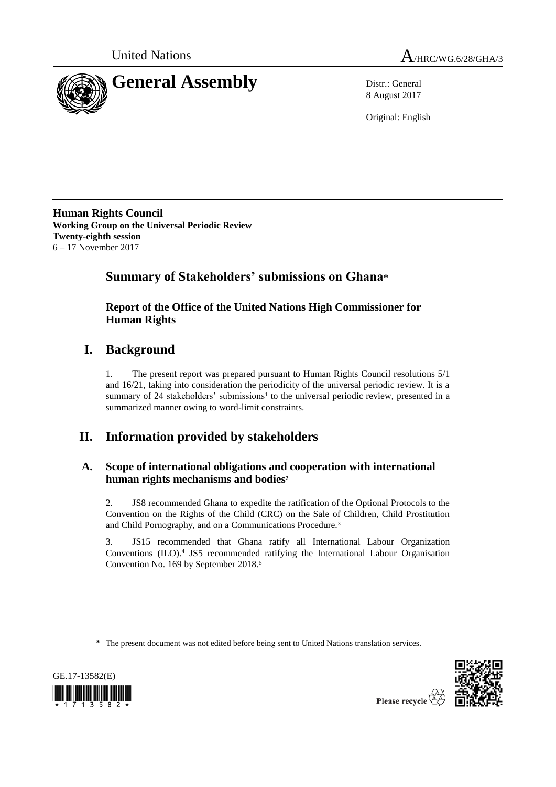



8 August 2017

Original: English

**Human Rights Council Working Group on the Universal Periodic Review Twenty-eighth session** 6 – 17 November 2017

# **Summary of Stakeholders' submissions on Ghana\***

## **Report of the Office of the United Nations High Commissioner for Human Rights**

# **I. Background**

1. The present report was prepared pursuant to Human Rights Council resolutions 5/1 and 16/21, taking into consideration the periodicity of the universal periodic review. It is a summary of 24 stakeholders' submissions<sup>1</sup> to the universal periodic review, presented in a summarized manner owing to word-limit constraints.

# **II. Information provided by stakeholders**

### **A. Scope of international obligations and cooperation with international human rights mechanisms and bodies<sup>2</sup>**

2. JS8 recommended Ghana to expedite the ratification of the Optional Protocols to the Convention on the Rights of the Child (CRC) on the Sale of Children, Child Prostitution and Child Pornography, and on a Communications Procedure.<sup>3</sup>

3. JS15 recommended that Ghana ratify all International Labour Organization Conventions (ILO). 4 JS5 recommended ratifying the International Labour Organisation Convention No. 169 by September 2018.<sup>5</sup>

<sup>\*</sup> The present document was not edited before being sent to United Nations translation services.



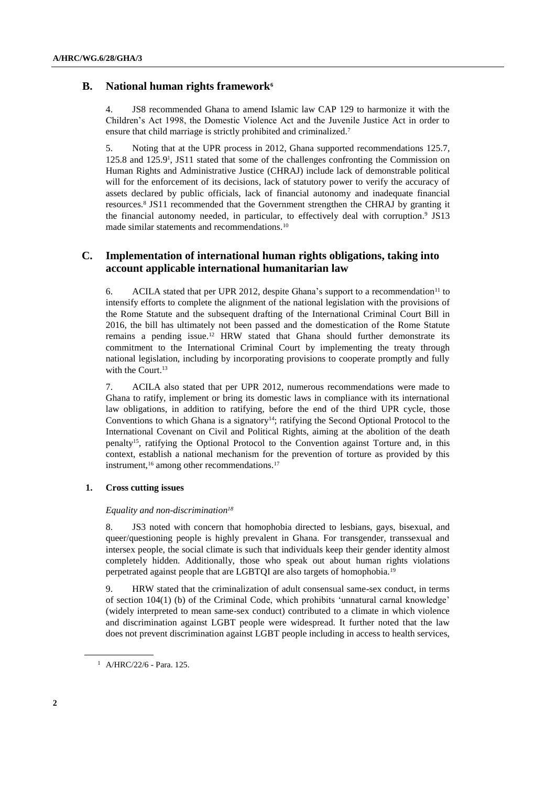### **B. National human rights framework<sup>6</sup>**

4. JS8 recommended Ghana to amend Islamic law CAP 129 to harmonize it with the Children's Act 1998, the Domestic Violence Act and the Juvenile Justice Act in order to ensure that child marriage is strictly prohibited and criminalized.<sup>7</sup>

5. Noting that at the UPR process in 2012, Ghana supported recommendations 125.7, 125.8 and 125.9<sup>1</sup> , JS11 stated that some of the challenges confronting the Commission on Human Rights and Administrative Justice (CHRAJ) include lack of demonstrable political will for the enforcement of its decisions, lack of statutory power to verify the accuracy of assets declared by public officials, lack of financial autonomy and inadequate financial resources. 8 JS11 recommended that the Government strengthen the CHRAJ by granting it the financial autonomy needed, in particular, to effectively deal with corruption. 9 JS13 made similar statements and recommendations.<sup>10</sup>

### **C. Implementation of international human rights obligations, taking into account applicable international humanitarian law**

6. ACILA stated that per UPR 2012, despite Ghana's support to a recommendation<sup>11</sup> to intensify efforts to complete the alignment of the national legislation with the provisions of the Rome Statute and the subsequent drafting of the International Criminal Court Bill in 2016, the bill has ultimately not been passed and the domestication of the Rome Statute remains a pending issue. <sup>12</sup> HRW stated that Ghana should further demonstrate its commitment to the International Criminal Court by implementing the treaty through national legislation, including by incorporating provisions to cooperate promptly and fully with the Court. 13

7. ACILA also stated that per UPR 2012, numerous recommendations were made to Ghana to ratify, implement or bring its domestic laws in compliance with its international law obligations, in addition to ratifying, before the end of the third UPR cycle, those Conventions to which Ghana is a signatory<sup>14</sup>; ratifying the Second Optional Protocol to the International Covenant on Civil and Political Rights, aiming at the abolition of the death penalty<sup>15</sup> , ratifying the Optional Protocol to the Convention against Torture and, in this context, establish a national mechanism for the prevention of torture as provided by this instrument, <sup>16</sup> among other recommendations.<sup>17</sup>

#### **1. Cross cutting issues**

#### *Equality and non-discrimination<sup>18</sup>*

8. JS3 noted with concern that homophobia directed to lesbians, gays, bisexual, and queer/questioning people is highly prevalent in Ghana. For transgender, transsexual and intersex people, the social climate is such that individuals keep their gender identity almost completely hidden. Additionally, those who speak out about human rights violations perpetrated against people that are LGBTQI are also targets of homophobia.<sup>19</sup>

9. HRW stated that the criminalization of adult consensual same-sex conduct, in terms of section 104(1) (b) of the Criminal Code, which prohibits 'unnatural carnal knowledge' (widely interpreted to mean same-sex conduct) contributed to a climate in which violence and discrimination against LGBT people were widespread. It further noted that the law does not prevent discrimination against LGBT people including in access to health services,

<sup>1</sup> A/HRC/22/6 - Para. 125.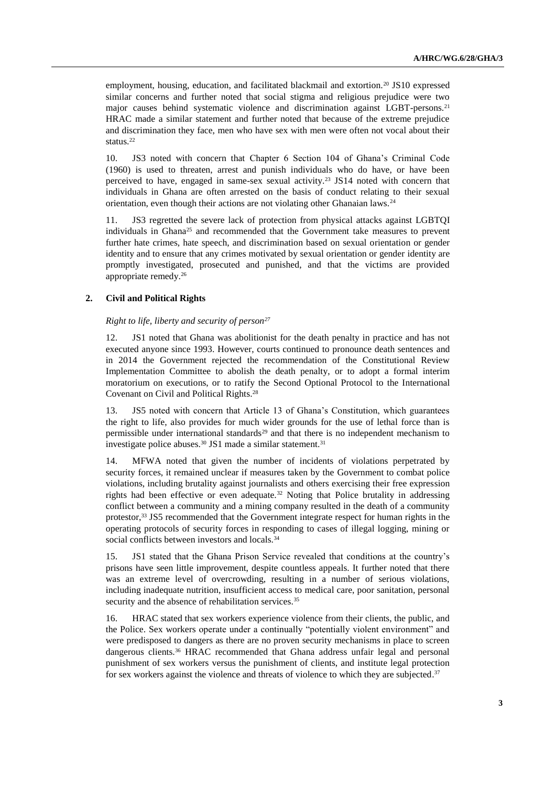employment, housing, education, and facilitated blackmail and extortion.<sup>20</sup> JS10 expressed similar concerns and further noted that social stigma and religious prejudice were two major causes behind systematic violence and discrimination against LGBT-persons.<sup>21</sup> HRAC made a similar statement and further noted that because of the extreme prejudice and discrimination they face, men who have sex with men were often not vocal about their status. 22

10. JS3 noted with concern that Chapter 6 Section 104 of Ghana's Criminal Code (1960) is used to threaten, arrest and punish individuals who do have, or have been perceived to have, engaged in same-sex sexual activity.<sup>23</sup> JS14 noted with concern that individuals in Ghana are often arrested on the basis of conduct relating to their sexual orientation, even though their actions are not violating other Ghanaian laws.<sup>24</sup>

11. JS3 regretted the severe lack of protection from physical attacks against LGBTQI individuals in Ghana<sup>25</sup> and recommended that the Government take measures to prevent further hate crimes, hate speech, and discrimination based on sexual orientation or gender identity and to ensure that any crimes motivated by sexual orientation or gender identity are promptly investigated, prosecuted and punished, and that the victims are provided appropriate remedy. 26

#### **2. Civil and Political Rights**

#### *Right to life, liberty and security of person<sup>27</sup>*

12. JS1 noted that Ghana was abolitionist for the death penalty in practice and has not executed anyone since 1993. However, courts continued to pronounce death sentences and in 2014 the Government rejected the recommendation of the Constitutional Review Implementation Committee to abolish the death penalty, or to adopt a formal interim moratorium on executions, or to ratify the Second Optional Protocol to the International Covenant on Civil and Political Rights. 28

13. JS5 noted with concern that Article 13 of Ghana's Constitution, which guarantees the right to life, also provides for much wider grounds for the use of lethal force than is permissible under international standards<sup>29</sup> and that there is no independent mechanism to investigate police abuses.<sup>30</sup> JS1 made a similar statement.<sup>31</sup>

14. MFWA noted that given the number of incidents of violations perpetrated by security forces, it remained unclear if measures taken by the Government to combat police violations, including brutality against journalists and others exercising their free expression rights had been effective or even adequate.<sup>32</sup> Noting that Police brutality in addressing conflict between a community and a mining company resulted in the death of a community protestor,<sup>33</sup> JS5 recommended that the Government integrate respect for human rights in the operating protocols of security forces in responding to cases of illegal logging, mining or social conflicts between investors and locals.<sup>34</sup>

15. JS1 stated that the Ghana Prison Service revealed that conditions at the country's prisons have seen little improvement, despite countless appeals. It further noted that there was an extreme level of overcrowding, resulting in a number of serious violations, including inadequate nutrition, insufficient access to medical care, poor sanitation, personal security and the absence of rehabilitation services.<sup>35</sup>

16. HRAC stated that sex workers experience violence from their clients, the public, and the Police. Sex workers operate under a continually "potentially violent environment" and were predisposed to dangers as there are no proven security mechanisms in place to screen dangerous clients.<sup>36</sup> HRAC recommended that Ghana address unfair legal and personal punishment of sex workers versus the punishment of clients, and institute legal protection for sex workers against the violence and threats of violence to which they are subjected.<sup>37</sup>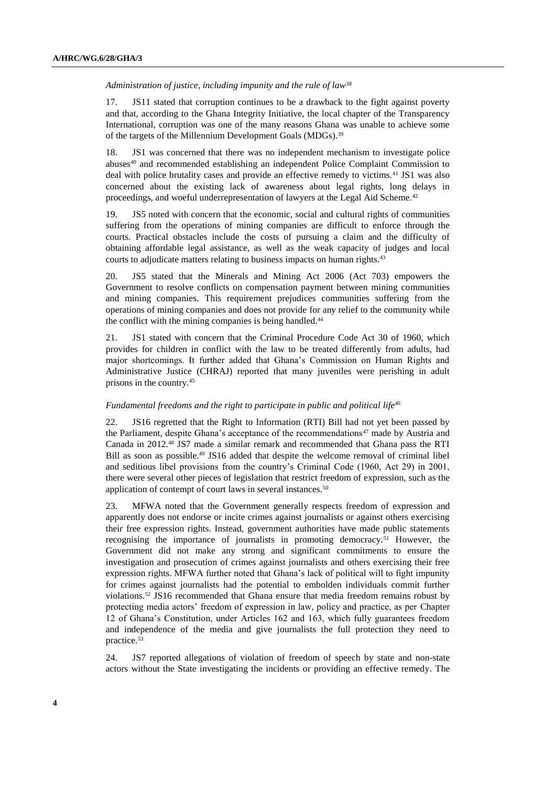*Administration of justice, including impunity and the rule of law<sup>38</sup>*

17. JS11 stated that corruption continues to be a drawback to the fight against poverty and that, according to the Ghana Integrity Initiative, the local chapter of the Transparency International, corruption was one of the many reasons Ghana was unable to achieve some of the targets of the Millennium Development Goals (MDGs).<sup>39</sup>

18. JS1 was concerned that there was no independent mechanism to investigate police abuses<sup>40</sup> and recommended establishing an independent Police Complaint Commission to deal with police brutality cases and provide an effective remedy to victims.<sup>41</sup> JS1 was also concerned about the existing lack of awareness about legal rights, long delays in proceedings, and woeful underrepresentation of lawyers at the Legal Aid Scheme.<sup>42</sup>

19. JS5 noted with concern that the economic, social and cultural rights of communities suffering from the operations of mining companies are difficult to enforce through the courts. Practical obstacles include the costs of pursuing a claim and the difficulty of obtaining affordable legal assistance, as well as the weak capacity of judges and local courts to adjudicate matters relating to business impacts on human rights. 43

20. JS5 stated that the Minerals and Mining Act 2006 (Act 703) empowers the Government to resolve conflicts on compensation payment between mining communities and mining companies. This requirement prejudices communities suffering from the operations of mining companies and does not provide for any relief to the community while the conflict with the mining companies is being handled.<sup>44</sup>

21. JS1 stated with concern that the Criminal Procedure Code Act 30 of 1960, which provides for children in conflict with the law to be treated differently from adults, had major shortcomings. It further added that Ghana's Commission on Human Rights and Administrative Justice (CHRAJ) reported that many juveniles were perishing in adult prisons in the country.<sup>45</sup>

#### *Fundamental freedoms and the right to participate in public and political life<sup>46</sup>*

22. JS16 regretted that the Right to Information (RTI) Bill had not yet been passed by the Parliament, despite Ghana's acceptance of the recommendations $47$  made by Austria and Canada in 2012.<sup>48</sup> JS7 made a similar remark and recommended that Ghana pass the RTI Bill as soon as possible.<sup>49</sup> JS16 added that despite the welcome removal of criminal libel and seditious libel provisions from the country's Criminal Code (1960, Act 29) in 2001, there were several other pieces of legislation that restrict freedom of expression, such as the application of contempt of court laws in several instances.<sup>50</sup>

23. MFWA noted that the Government generally respects freedom of expression and apparently does not endorse or incite crimes against journalists or against others exercising their free expression rights. Instead, government authorities have made public statements recognising the importance of journalists in promoting democracy.<sup>51</sup> However, the Government did not make any strong and significant commitments to ensure the investigation and prosecution of crimes against journalists and others exercising their free expression rights. MFWA further noted that Ghana's lack of political will to fight impunity for crimes against journalists had the potential to embolden individuals commit further violations.<sup>52</sup> JS16 recommended that Ghana ensure that media freedom remains robust by protecting media actors' freedom of expression in law, policy and practice, as per Chapter 12 of Ghana's Constitution, under Articles 162 and 163, which fully guarantees freedom and independence of the media and give journalists the full protection they need to practice.<sup>53</sup>

24. JS7 reported allegations of violation of freedom of speech by state and non-state actors without the State investigating the incidents or providing an effective remedy. The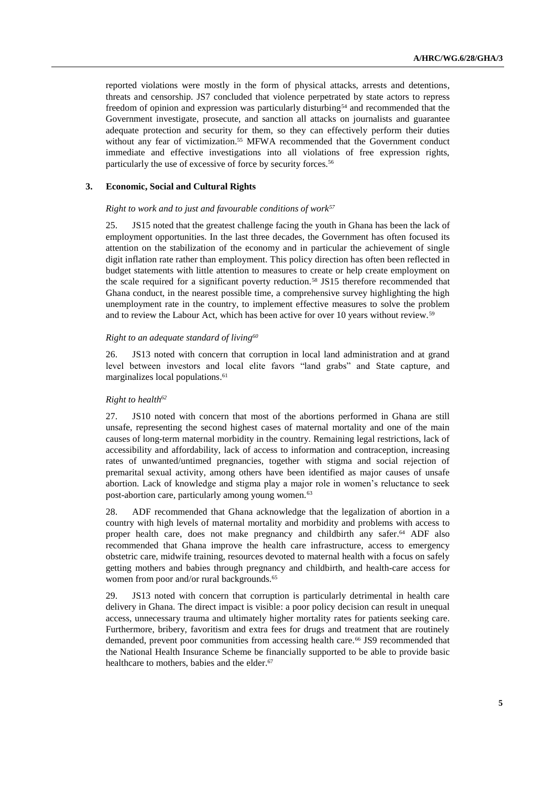reported violations were mostly in the form of physical attacks, arrests and detentions, threats and censorship. JS7 concluded that violence perpetrated by state actors to repress freedom of opinion and expression was particularly disturbing<sup>54</sup> and recommended that the Government investigate, prosecute, and sanction all attacks on journalists and guarantee adequate protection and security for them, so they can effectively perform their duties without any fear of victimization. <sup>55</sup> MFWA recommended that the Government conduct immediate and effective investigations into all violations of free expression rights, particularly the use of excessive of force by security forces.<sup>56</sup>

#### **3. Economic, Social and Cultural Rights**

#### *Right to work and to just and favourable conditions of work<sup>57</sup>*

25. JS15 noted that the greatest challenge facing the youth in Ghana has been the lack of employment opportunities. In the last three decades, the Government has often focused its attention on the stabilization of the economy and in particular the achievement of single digit inflation rate rather than employment. This policy direction has often been reflected in budget statements with little attention to measures to create or help create employment on the scale required for a significant poverty reduction.<sup>58</sup> JS15 therefore recommended that Ghana conduct, in the nearest possible time, a comprehensive survey highlighting the high unemployment rate in the country, to implement effective measures to solve the problem and to review the Labour Act, which has been active for over 10 years without review.<sup>59</sup>

#### *Right to an adequate standard of living<sup>60</sup>*

26. JS13 noted with concern that corruption in local land administration and at grand level between investors and local elite favors "land grabs" and State capture, and marginalizes local populations.<sup>61</sup>

#### *Right to health<sup>62</sup>*

27. JS10 noted with concern that most of the abortions performed in Ghana are still unsafe, representing the second highest cases of maternal mortality and one of the main causes of long-term maternal morbidity in the country. Remaining legal restrictions, lack of accessibility and affordability, lack of access to information and contraception, increasing rates of unwanted/untimed pregnancies, together with stigma and social rejection of premarital sexual activity, among others have been identified as major causes of unsafe abortion. Lack of knowledge and stigma play a major role in women's reluctance to seek post-abortion care, particularly among young women.<sup>63</sup>

28. ADF recommended that Ghana acknowledge that the legalization of abortion in a country with high levels of maternal mortality and morbidity and problems with access to proper health care, does not make pregnancy and childbirth any safer. <sup>64</sup> ADF also recommended that Ghana improve the health care infrastructure, access to emergency obstetric care, midwife training, resources devoted to maternal health with a focus on safely getting mothers and babies through pregnancy and childbirth, and health-care access for women from poor and/or rural backgrounds.<sup>65</sup>

29. JS13 noted with concern that corruption is particularly detrimental in health care delivery in Ghana. The direct impact is visible: a poor policy decision can result in unequal access, unnecessary trauma and ultimately higher mortality rates for patients seeking care. Furthermore, bribery, favoritism and extra fees for drugs and treatment that are routinely demanded, prevent poor communities from accessing health care.<sup>66</sup> JS9 recommended that the National Health Insurance Scheme be financially supported to be able to provide basic healthcare to mothers, babies and the elder. 67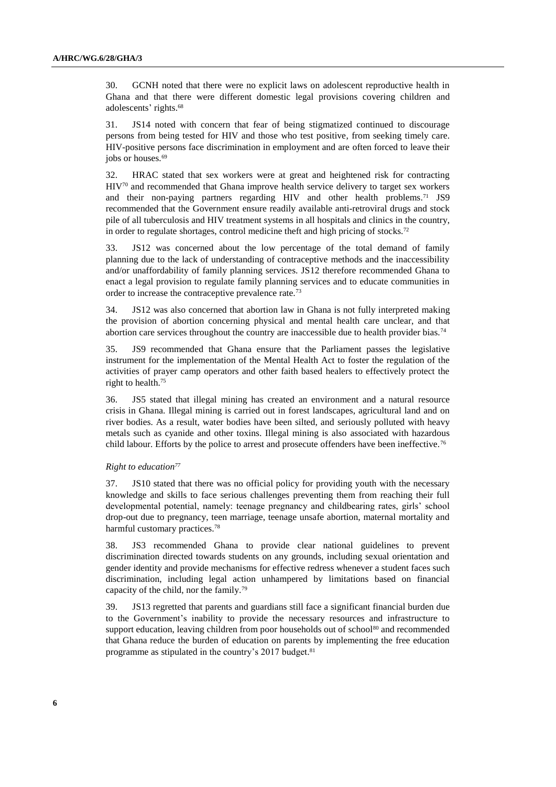30. GCNH noted that there were no explicit laws on adolescent reproductive health in Ghana and that there were different domestic legal provisions covering children and adolescents' rights. 68

31. JS14 noted with concern that fear of being stigmatized continued to discourage persons from being tested for HIV and those who test positive, from seeking timely care. HIV-positive persons face discrimination in employment and are often forced to leave their jobs or houses.<sup>69</sup>

32. HRAC stated that sex workers were at great and heightened risk for contracting HIV<sup>70</sup> and recommended that Ghana improve health service delivery to target sex workers and their non-paying partners regarding HIV and other health problems. <sup>71</sup> JS9 recommended that the Government ensure readily available anti-retroviral drugs and stock pile of all tuberculosis and HIV treatment systems in all hospitals and clinics in the country, in order to regulate shortages, control medicine theft and high pricing of stocks.<sup>72</sup>

33. JS12 was concerned about the low percentage of the total demand of family planning due to the lack of understanding of contraceptive methods and the inaccessibility and/or unaffordability of family planning services. JS12 therefore recommended Ghana to enact a legal provision to regulate family planning services and to educate communities in order to increase the contraceptive prevalence rate.<sup>73</sup>

34. JS12 was also concerned that abortion law in Ghana is not fully interpreted making the provision of abortion concerning physical and mental health care unclear, and that abortion care services throughout the country are inaccessible due to health provider bias.<sup>74</sup>

35. JS9 recommended that Ghana ensure that the Parliament passes the legislative instrument for the implementation of the Mental Health Act to foster the regulation of the activities of prayer camp operators and other faith based healers to effectively protect the right to health.<sup>75</sup>

36. JS5 stated that illegal mining has created an environment and a natural resource crisis in Ghana. Illegal mining is carried out in forest landscapes, agricultural land and on river bodies. As a result, water bodies have been silted, and seriously polluted with heavy metals such as cyanide and other toxins. Illegal mining is also associated with hazardous child labour. Efforts by the police to arrest and prosecute offenders have been ineffective.<sup>76</sup>

#### *Right to education<sup>77</sup>*

37. JS10 stated that there was no official policy for providing youth with the necessary knowledge and skills to face serious challenges preventing them from reaching their full developmental potential, namely: teenage pregnancy and childbearing rates, girls' school drop-out due to pregnancy, teen marriage, teenage unsafe abortion, maternal mortality and harmful customary practices.<sup>78</sup>

38. JS3 recommended Ghana to provide clear national guidelines to prevent discrimination directed towards students on any grounds, including sexual orientation and gender identity and provide mechanisms for effective redress whenever a student faces such discrimination, including legal action unhampered by limitations based on financial capacity of the child, nor the family.<sup>79</sup>

39. JS13 regretted that parents and guardians still face a significant financial burden due to the Government's inability to provide the necessary resources and infrastructure to support education, leaving children from poor households out of school<sup>80</sup> and recommended that Ghana reduce the burden of education on parents by implementing the free education programme as stipulated in the country's 2017 budget. 81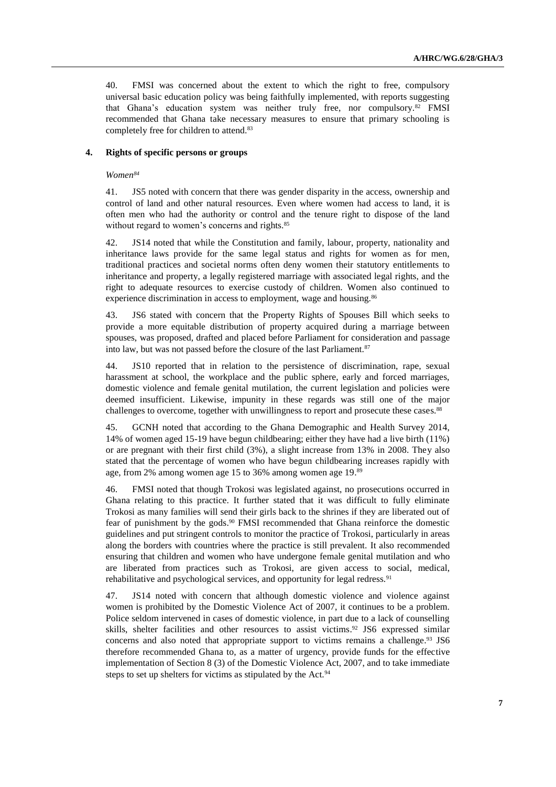40. FMSI was concerned about the extent to which the right to free, compulsory universal basic education policy was being faithfully implemented, with reports suggesting that Ghana's education system was neither truly free, nor compulsory.<sup>82</sup> FMSI recommended that Ghana take necessary measures to ensure that primary schooling is completely free for children to attend.<sup>83</sup>

#### **4. Rights of specific persons or groups**

*Women<sup>84</sup>*

41. JS5 noted with concern that there was gender disparity in the access, ownership and control of land and other natural resources. Even where women had access to land, it is often men who had the authority or control and the tenure right to dispose of the land without regard to women's concerns and rights.<sup>85</sup>

42. JS14 noted that while the Constitution and family, labour, property, nationality and inheritance laws provide for the same legal status and rights for women as for men, traditional practices and societal norms often deny women their statutory entitlements to inheritance and property, a legally registered marriage with associated legal rights, and the right to adequate resources to exercise custody of children. Women also continued to experience discrimination in access to employment, wage and housing.<sup>86</sup>

43. JS6 stated with concern that the Property Rights of Spouses Bill which seeks to provide a more equitable distribution of property acquired during a marriage between spouses, was proposed, drafted and placed before Parliament for consideration and passage into law, but was not passed before the closure of the last Parliament.<sup>87</sup>

44. JS10 reported that in relation to the persistence of discrimination, rape, sexual harassment at school, the workplace and the public sphere, early and forced marriages, domestic violence and female genital mutilation, the current legislation and policies were deemed insufficient. Likewise, impunity in these regards was still one of the major challenges to overcome, together with unwillingness to report and prosecute these cases.<sup>88</sup>

45. GCNH noted that according to the Ghana Demographic and Health Survey 2014, 14% of women aged 15-19 have begun childbearing; either they have had a live birth (11%) or are pregnant with their first child (3%), a slight increase from 13% in 2008. They also stated that the percentage of women who have begun childbearing increases rapidly with age, from 2% among women age 15 to 36% among women age 19.89

46. FMSI noted that though Trokosi was legislated against, no prosecutions occurred in Ghana relating to this practice. It further stated that it was difficult to fully eliminate Trokosi as many families will send their girls back to the shrines if they are liberated out of fear of punishment by the gods. <sup>90</sup> FMSI recommended that Ghana reinforce the domestic guidelines and put stringent controls to monitor the practice of Trokosi, particularly in areas along the borders with countries where the practice is still prevalent. It also recommended ensuring that children and women who have undergone female genital mutilation and who are liberated from practices such as Trokosi, are given access to social, medical, rehabilitative and psychological services, and opportunity for legal redress.<sup>91</sup>

47. JS14 noted with concern that although domestic violence and violence against women is prohibited by the Domestic Violence Act of 2007, it continues to be a problem. Police seldom intervened in cases of domestic violence, in part due to a lack of counselling skills, shelter facilities and other resources to assist victims. <sup>92</sup> JS6 expressed similar concerns and also noted that appropriate support to victims remains a challenge. <sup>93</sup> JS6 therefore recommended Ghana to, as a matter of urgency, provide funds for the effective implementation of Section 8 (3) of the Domestic Violence Act, 2007, and to take immediate steps to set up shelters for victims as stipulated by the Act.<sup>94</sup>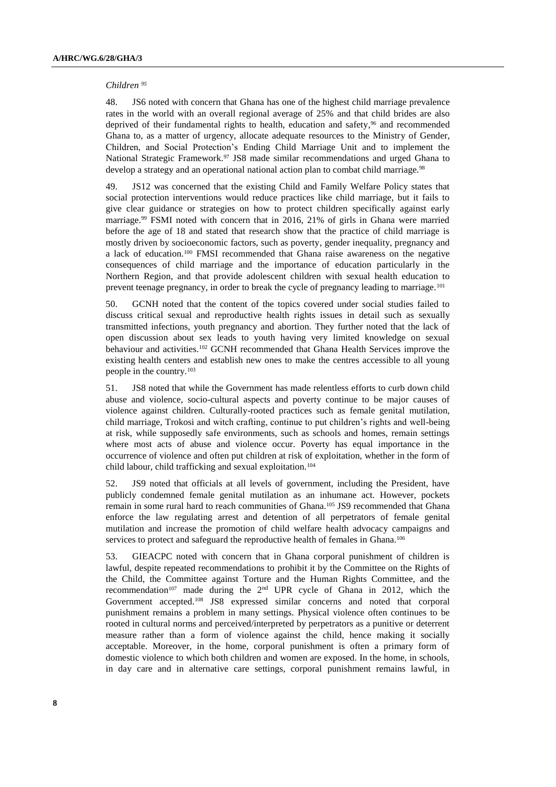#### *Children <sup>95</sup>*

48. JS6 noted with concern that Ghana has one of the highest child marriage prevalence rates in the world with an overall regional average of 25% and that child brides are also deprived of their fundamental rights to health, education and safety, <sup>96</sup> and recommended Ghana to, as a matter of urgency, allocate adequate resources to the Ministry of Gender, Children, and Social Protection's Ending Child Marriage Unit and to implement the National Strategic Framework.<sup>97</sup> JS8 made similar recommendations and urged Ghana to develop a strategy and an operational national action plan to combat child marriage.<sup>98</sup>

49. JS12 was concerned that the existing Child and Family Welfare Policy states that social protection interventions would reduce practices like child marriage, but it fails to give clear guidance or strategies on how to protect children specifically against early marriage.<sup>99</sup> FSMI noted with concern that in 2016, 21% of girls in Ghana were married before the age of 18 and stated that research show that the practice of child marriage is mostly driven by socioeconomic factors, such as poverty, gender inequality, pregnancy and a lack of education.<sup>100</sup> FMSI recommended that Ghana raise awareness on the negative consequences of child marriage and the importance of education particularly in the Northern Region, and that provide adolescent children with sexual health education to prevent teenage pregnancy, in order to break the cycle of pregnancy leading to marriage.<sup>101</sup>

50. GCNH noted that the content of the topics covered under social studies failed to discuss critical sexual and reproductive health rights issues in detail such as sexually transmitted infections, youth pregnancy and abortion. They further noted that the lack of open discussion about sex leads to youth having very limited knowledge on sexual behaviour and activities. <sup>102</sup> GCNH recommended that Ghana Health Services improve the existing health centers and establish new ones to make the centres accessible to all young people in the country.<sup>103</sup>

51. JS8 noted that while the Government has made relentless efforts to curb down child abuse and violence, socio-cultural aspects and poverty continue to be major causes of violence against children. Culturally-rooted practices such as female genital mutilation, child marriage, Trokosi and witch crafting, continue to put children's rights and well-being at risk, while supposedly safe environments, such as schools and homes, remain settings where most acts of abuse and violence occur. Poverty has equal importance in the occurrence of violence and often put children at risk of exploitation, whether in the form of child labour, child trafficking and sexual exploitation.<sup>104</sup>

52. JS9 noted that officials at all levels of government, including the President, have publicly condemned female genital mutilation as an inhumane act. However, pockets remain in some rural hard to reach communities of Ghana.<sup>105</sup> JS9 recommended that Ghana enforce the law regulating arrest and detention of all perpetrators of female genital mutilation and increase the promotion of child welfare health advocacy campaigns and services to protect and safeguard the reproductive health of females in Ghana.<sup>106</sup>

53. GIEACPC noted with concern that in Ghana corporal punishment of children is lawful, despite repeated recommendations to prohibit it by the Committee on the Rights of the Child, the Committee against Torture and the Human Rights Committee, and the recommendation<sup>107</sup> made during the  $2<sup>nd</sup>$  UPR cycle of Ghana in 2012, which the Government accepted.<sup>108</sup> JS8 expressed similar concerns and noted that corporal punishment remains a problem in many settings. Physical violence often continues to be rooted in cultural norms and perceived/interpreted by perpetrators as a punitive or deterrent measure rather than a form of violence against the child, hence making it socially acceptable. Moreover, in the home, corporal punishment is often a primary form of domestic violence to which both children and women are exposed. In the home, in schools, in day care and in alternative care settings, corporal punishment remains lawful, in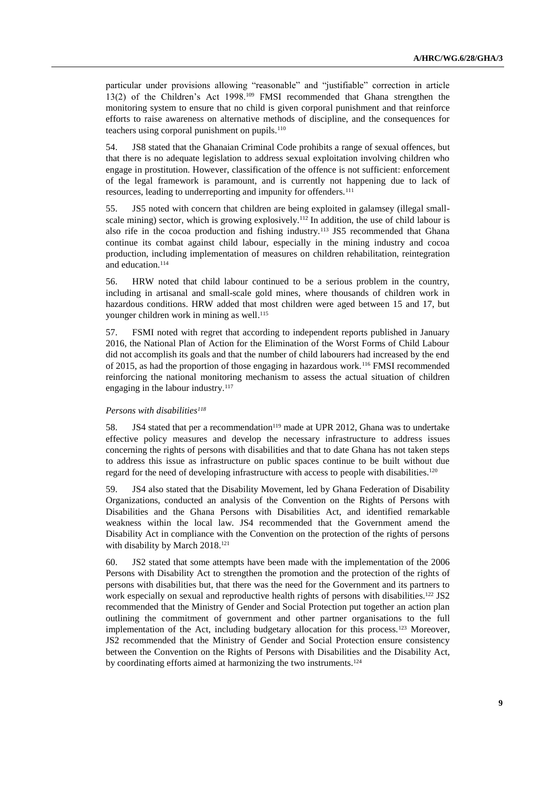particular under provisions allowing "reasonable" and "justifiable" correction in article 13(2) of the Children's Act 1998.<sup>109</sup> FMSI recommended that Ghana strengthen the monitoring system to ensure that no child is given corporal punishment and that reinforce efforts to raise awareness on alternative methods of discipline, and the consequences for teachers using corporal punishment on pupils.<sup>110</sup>

54. JS8 stated that the Ghanaian Criminal Code prohibits a range of sexual offences, but that there is no adequate legislation to address sexual exploitation involving children who engage in prostitution. However, classification of the offence is not sufficient: enforcement of the legal framework is paramount, and is currently not happening due to lack of resources, leading to underreporting and impunity for offenders.<sup>111</sup>

55. JS5 noted with concern that children are being exploited in galamsey (illegal smallscale mining) sector, which is growing explosively.<sup>112</sup> In addition, the use of child labour is also rife in the cocoa production and fishing industry.<sup>113</sup> JS5 recommended that Ghana continue its combat against child labour, especially in the mining industry and cocoa production, including implementation of measures on children rehabilitation, reintegration and education.<sup>114</sup>

56. HRW noted that child labour continued to be a serious problem in the country, including in artisanal and small-scale gold mines, where thousands of children work in hazardous conditions. HRW added that most children were aged between 15 and 17, but younger children work in mining as well. 115

57. FSMI noted with regret that according to independent reports published in January 2016, the National Plan of Action for the Elimination of the Worst Forms of Child Labour did not accomplish its goals and that the number of child labourers had increased by the end of 2015, as had the proportion of those engaging in hazardous work.<sup>116</sup> FMSI recommended reinforcing the national monitoring mechanism to assess the actual situation of children engaging in the labour industry.<sup>117</sup>

#### *Persons with disabilities<sup>118</sup>*

58. JS4 stated that per a recommendation<sup>119</sup> made at UPR 2012, Ghana was to undertake effective policy measures and develop the necessary infrastructure to address issues concerning the rights of persons with disabilities and that to date Ghana has not taken steps to address this issue as infrastructure on public spaces continue to be built without due regard for the need of developing infrastructure with access to people with disabilities.<sup>120</sup>

59. JS4 also stated that the Disability Movement, led by Ghana Federation of Disability Organizations, conducted an analysis of the Convention on the Rights of Persons with Disabilities and the Ghana Persons with Disabilities Act, and identified remarkable weakness within the local law. JS4 recommended that the Government amend the Disability Act in compliance with the Convention on the protection of the rights of persons with disability by March 2018. 121

60. JS2 stated that some attempts have been made with the implementation of the 2006 Persons with Disability Act to strengthen the promotion and the protection of the rights of persons with disabilities but, that there was the need for the Government and its partners to work especially on sexual and reproductive health rights of persons with disabilities.<sup>122</sup> JS2 recommended that the Ministry of Gender and Social Protection put together an action plan outlining the commitment of government and other partner organisations to the full implementation of the Act, including budgetary allocation for this process.<sup>123</sup> Moreover, JS2 recommended that the Ministry of Gender and Social Protection ensure consistency between the Convention on the Rights of Persons with Disabilities and the Disability Act, by coordinating efforts aimed at harmonizing the two instruments.<sup>124</sup>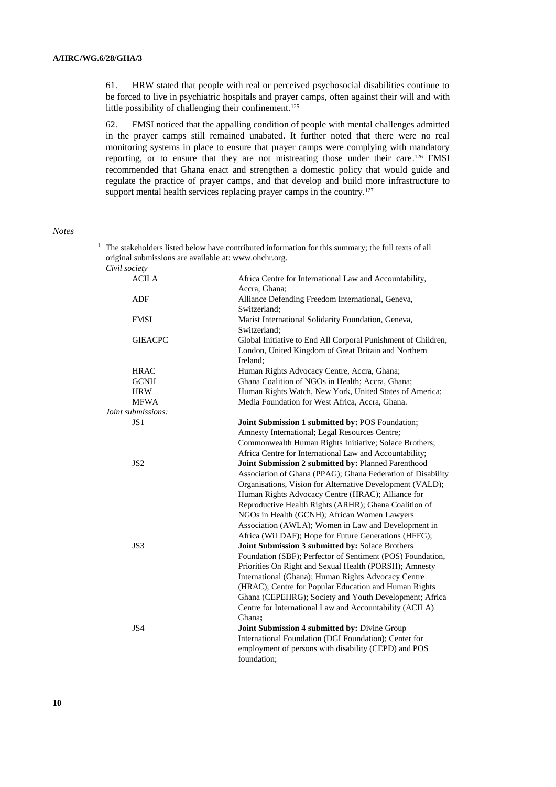61. HRW stated that people with real or perceived psychosocial disabilities continue to be forced to live in psychiatric hospitals and prayer camps, often against their will and with little possibility of challenging their confinement. 125

62. FMSI noticed that the appalling condition of people with mental challenges admitted in the prayer camps still remained unabated. It further noted that there were no real monitoring systems in place to ensure that prayer camps were complying with mandatory reporting, or to ensure that they are not mistreating those under their care.<sup>126</sup> FMSI recommended that Ghana enact and strengthen a domestic policy that would guide and regulate the practice of prayer camps, and that develop and build more infrastructure to support mental health services replacing prayer camps in the country. 127

#### *Notes*

<sup>1</sup> The stakeholders listed below have contributed information for this summary; the full texts of all original submissions are available at: [www.ohchr.org.](http://www.ohchr.org/) *Civil society*

| <b>ACILA</b>       | Africa Centre for International Law and Accountability,<br>Accra, Ghana; |
|--------------------|--------------------------------------------------------------------------|
| ADF                | Alliance Defending Freedom International, Geneva,                        |
|                    | Switzerland;                                                             |
| <b>FMSI</b>        | Marist International Solidarity Foundation, Geneva,                      |
|                    | Switzerland;                                                             |
| <b>GIEACPC</b>     | Global Initiative to End All Corporal Punishment of Children,            |
|                    | London, United Kingdom of Great Britain and Northern                     |
|                    | Ireland;                                                                 |
| <b>HRAC</b>        | Human Rights Advocacy Centre, Accra, Ghana;                              |
| <b>GCNH</b>        | Ghana Coalition of NGOs in Health; Accra, Ghana;                         |
| <b>HRW</b>         | Human Rights Watch, New York, United States of America;                  |
| <b>MFWA</b>        | Media Foundation for West Africa, Accra, Ghana.                          |
| Joint submissions: |                                                                          |
| JS1                | Joint Submission 1 submitted by: POS Foundation;                         |
|                    | Amnesty International; Legal Resources Centre;                           |
|                    | Commonwealth Human Rights Initiative; Solace Brothers;                   |
|                    | Africa Centre for International Law and Accountability;                  |
| JS <sub>2</sub>    | Joint Submission 2 submitted by: Planned Parenthood                      |
|                    | Association of Ghana (PPAG); Ghana Federation of Disability              |
|                    | Organisations, Vision for Alternative Development (VALD);                |
|                    | Human Rights Advocacy Centre (HRAC); Alliance for                        |
|                    | Reproductive Health Rights (ARHR); Ghana Coalition of                    |
|                    | NGOs in Health (GCNH); African Women Lawyers                             |
|                    | Association (AWLA); Women in Law and Development in                      |
|                    | Africa (WiLDAF); Hope for Future Generations (HFFG);                     |
| JS3                | Joint Submission 3 submitted by: Solace Brothers                         |
|                    | Foundation (SBF); Perfector of Sentiment (POS) Foundation,               |
|                    | Priorities On Right and Sexual Health (PORSH); Amnesty                   |
|                    | International (Ghana); Human Rights Advocacy Centre                      |
|                    | (HRAC); Centre for Popular Education and Human Rights                    |
|                    | Ghana (CEPEHRG); Society and Youth Development; Africa                   |
|                    | Centre for International Law and Accountability (ACILA)                  |
|                    | Ghana;                                                                   |
| JS4                | <b>Joint Submission 4 submitted by: Divine Group</b>                     |
|                    | International Foundation (DGI Foundation); Center for                    |
|                    | employment of persons with disability (CEPD) and POS                     |
|                    | foundation;                                                              |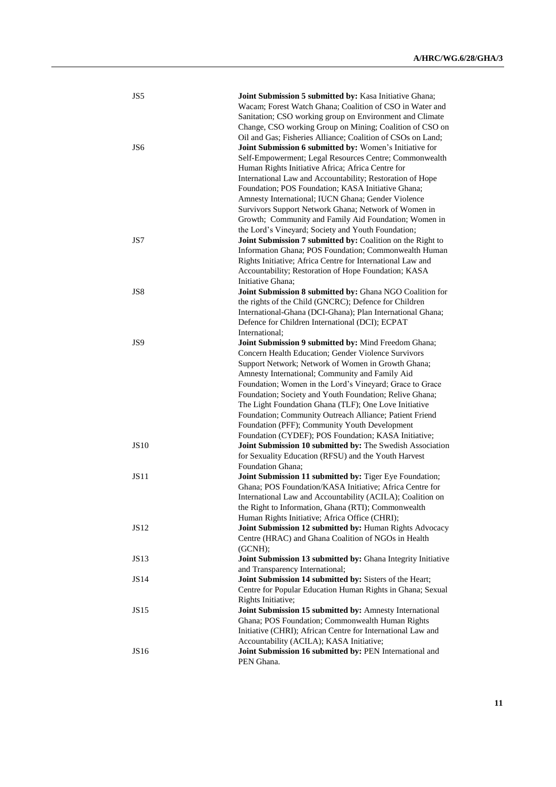| JS5             | Joint Submission 5 submitted by: Kasa Initiative Ghana;      |
|-----------------|--------------------------------------------------------------|
|                 | Wacam; Forest Watch Ghana; Coalition of CSO in Water and     |
|                 | Sanitation; CSO working group on Environment and Climate     |
|                 | Change, CSO working Group on Mining; Coalition of CSO on     |
|                 | Oil and Gas; Fisheries Alliance; Coalition of CSOs on Land;  |
| JS <sub>6</sub> | Joint Submission 6 submitted by: Women's Initiative for      |
|                 | Self-Empowerment; Legal Resources Centre; Commonwealth       |
|                 | Human Rights Initiative Africa; Africa Centre for            |
|                 | International Law and Accountability; Restoration of Hope    |
|                 | Foundation; POS Foundation; KASA Initiative Ghana;           |
|                 | Amnesty International; IUCN Ghana; Gender Violence           |
|                 | Survivors Support Network Ghana; Network of Women in         |
|                 | Growth; Community and Family Aid Foundation; Women in        |
|                 | the Lord's Vineyard; Society and Youth Foundation;           |
| JS7             | Joint Submission 7 submitted by: Coalition on the Right to   |
|                 | Information Ghana; POS Foundation; Commonwealth Human        |
|                 | Rights Initiative; Africa Centre for International Law and   |
|                 | Accountability; Restoration of Hope Foundation; KASA         |
|                 | Initiative Ghana:                                            |
| JS8             | Joint Submission 8 submitted by: Ghana NGO Coalition for     |
|                 | the rights of the Child (GNCRC); Defence for Children        |
|                 | International-Ghana (DCI-Ghana); Plan International Ghana;   |
|                 | Defence for Children International (DCI); ECPAT              |
|                 | International:                                               |
| JS9             | Joint Submission 9 submitted by: Mind Freedom Ghana;         |
|                 | Concern Health Education; Gender Violence Survivors          |
|                 | Support Network; Network of Women in Growth Ghana;           |
|                 | Amnesty International; Community and Family Aid              |
|                 | Foundation; Women in the Lord's Vineyard; Grace to Grace     |
|                 | Foundation; Society and Youth Foundation; Relive Ghana;      |
|                 | The Light Foundation Ghana (TLF); One Love Initiative        |
|                 | Foundation; Community Outreach Alliance; Patient Friend      |
|                 | Foundation (PFF); Community Youth Development                |
|                 | Foundation (CYDEF); POS Foundation; KASA Initiative;         |
| <b>JS10</b>     | Joint Submission 10 submitted by: The Swedish Association    |
|                 | for Sexuality Education (RFSU) and the Youth Harvest         |
|                 | Foundation Ghana;                                            |
| JS11            | Joint Submission 11 submitted by: Tiger Eye Foundation;      |
|                 | Ghana; POS Foundation/KASA Initiative; Africa Centre for     |
|                 | International Law and Accountability (ACILA); Coalition on   |
|                 | the Right to Information, Ghana (RTI); Commonwealth          |
|                 | Human Rights Initiative; Africa Office (CHRI);               |
| JS12            | Joint Submission 12 submitted by: Human Rights Advocacy      |
|                 | Centre (HRAC) and Ghana Coalition of NGOs in Health          |
|                 | (GCNH);                                                      |
| JS13            | Joint Submission 13 submitted by: Ghana Integrity Initiative |
|                 | and Transparency International;                              |
| JS14            | Joint Submission 14 submitted by: Sisters of the Heart;      |
|                 | Centre for Popular Education Human Rights in Ghana; Sexual   |
|                 | Rights Initiative;                                           |
| JS15            | Joint Submission 15 submitted by: Amnesty International      |
|                 | Ghana; POS Foundation; Commonwealth Human Rights             |
|                 | Initiative (CHRI); African Centre for International Law and  |
|                 | Accountability (ACILA); KASA Initiative;                     |
| <b>JS16</b>     | Joint Submission 16 submitted by: PEN International and      |
|                 | PEN Ghana.                                                   |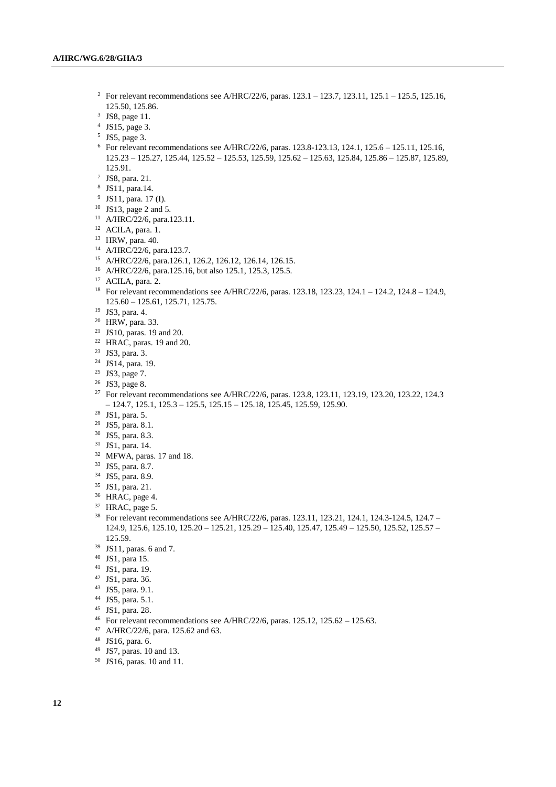- <sup>2</sup> For relevant recommendations see A/HRC/22/6, paras. 123.1 123.7, 123.11, 125.1 125.5, 125.16, 125.50, 125.86.
- JS8, page 11.
- JS15, page 3.
- JS5, page 3.
- For relevant recommendations see A/HRC/22/6, paras. 123.8-123.13, 124.1, 125.6 125.11, 125.16, 125.23 – 125.27, 125.44, 125.52 – 125.53, 125.59, 125.62 – 125.63, 125.84, 125.86 – 125.87, 125.89, 125.91.
- JS8, para. 21.
- JS11, para.14.
- JS11, para. 17 (I).
- JS13, page 2 and 5.
- A/HRC/22/6, para.123.11.
- ACILA, para. 1.
- HRW, para. 40.
- A/HRC/22/6, para.123.7.
- A/HRC/22/6, para.126.1, 126.2, 126.12, 126.14, 126.15.
- A/HRC/22/6, para.125.16, but also 125.1, 125.3, 125.5.
- <sup>17</sup> ACILA, para. 2.
- For relevant recommendations see A/HRC/22/6, paras. 123.18, 123.23, 124.1 124.2, 124.8 124.9, 125.60 – 125.61, 125.71, 125.75.
- JS3, para. 4.
- HRW, para. 33.
- JS10, paras. 19 and 20.
- <sup>22</sup> HRAC, paras. 19 and 20.
- JS3, para. 3.
- JS14, para. 19.
- JS3, page 7.
- JS3, page 8.
- <sup>27</sup> For relevant recommendations see A/HRC/22/6, paras. 123.8, 123.11, 123.19, 123.20, 123.22, 124.3 – 124.7, 125.1, 125.3 – 125.5, 125.15 – 125.18, 125.45, 125.59, 125.90.
- JS1, para. 5.
- JS5, para. 8.1.
- JS5, para. 8.3.
- JS1, para. 14.
- MFWA, paras. 17 and 18.
- JS5, para. 8.7.
- JS5, para. 8.9.
- JS1, para. 21.
- <sup>36</sup> HRAC, page 4.
- <sup>37</sup> HRAC, page 5.
- <sup>38</sup> For relevant recommendations see A/HRC/22/6, paras. 123.11, 123.21, 124.1, 124.3-124.5, 124.7 124.9, 125.6, 125.10, 125.20 – 125.21, 125.29 – 125.40, 125.47, 125.49 – 125.50, 125.52, 125.57 – 125.59.
- JS11, paras. 6 and 7.
- JS1, para 15.
- JS1, para. 19.
- JS1, para. 36.
- JS5, para. 9.1.
- JS5, para. 5.1.
- JS1, para. 28.
- <sup>46</sup> For relevant recommendations see A/HRC/22/6, paras.  $125.12$ ,  $125.62 125.63$ .
- A/HRC/22/6, para. 125.62 and 63.
- JS16, para. 6.
- JS7, paras. 10 and 13.
- JS16, paras. 10 and 11.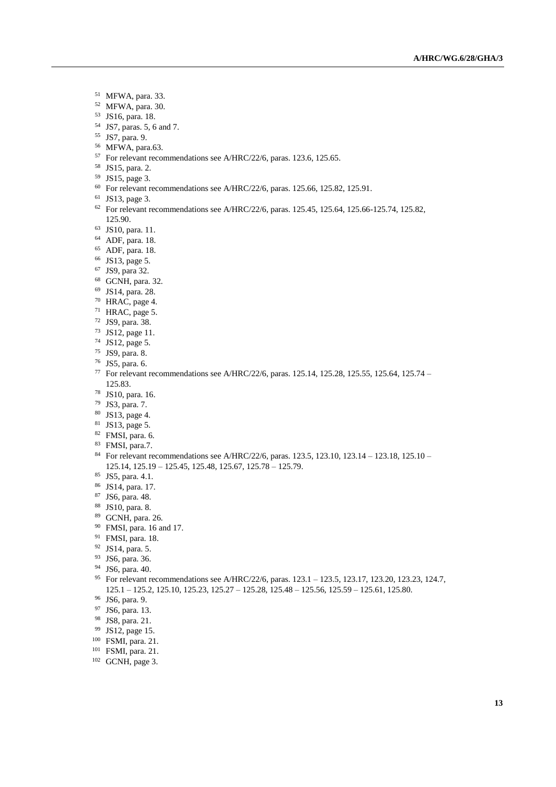- MFWA, para. 33.
- MFWA, para. 30.
- JS16, para. 18.
- JS7, paras. 5, 6 and 7.
- JS7, para. 9.
- MFWA, para.63.
- For relevant recommendations see A/HRC/22/6, paras. 123.6, 125.65.
- JS15, para. 2.
- JS15, page 3.
- For relevant recommendations see A/HRC/22/6, paras. 125.66, 125.82, 125.91.
- JS13, page 3.
- For relevant recommendations see A/HRC/22/6, paras. 125.45, 125.64, 125.66-125.74, 125.82, 125.90.
- JS10, para. 11.
- ADF, para. 18.
- ADF, para. 18.
- JS13, page 5.
- JS9, para 32.
- GCNH, para. 32.
- JS14, para. 28.
- HRAC, page 4.
- HRAC, page 5.
- JS9, para. 38.
- JS12, page 11.
- JS12, page 5.
- JS9, para. 8.
- JS5, para. 6.
- <sup>77</sup> For relevant recommendations see A/HRC/22/6, paras. 125.14, 125.28, 125.55, 125.64, 125.74 125.83.
- JS10, para. 16.
- JS3, para. 7.
- JS13, page 4.
- JS13, page 5.
- FMSI, para. 6. FMSI, para.7.
- For relevant recommendations see A/HRC/22/6, paras. 123.5, 123.10, 123.14 123.18, 125.10 125.14, 125.19 – 125.45, 125.48, 125.67, 125.78 – 125.79.
- JS5, para. 4.1.
- JS14, para. 17.
- JS6, para. 48.
- JS10, para. 8.
- GCNH, para. 26.
- FMSI, para. 16 and 17.
- FMSI, para. 18.
- JS14, para. 5.
- JS6, para. 36.
- JS6, para. 40.
- For relevant recommendations see A/HRC/22/6, paras. 123.1 123.5, 123.17, 123.20, 123.23, 124.7, 125.1 – 125.2, 125.10, 125.23, 125.27 – 125.28, 125.48 – 125.56, 125.59 – 125.61, 125.80.
- JS6, para. 9.
- JS6, para. 13.
- JS8, para. 21.
- JS12, page 15.
- FSMI, para. 21.
- FSMI, para. 21.
- GCNH, page 3.